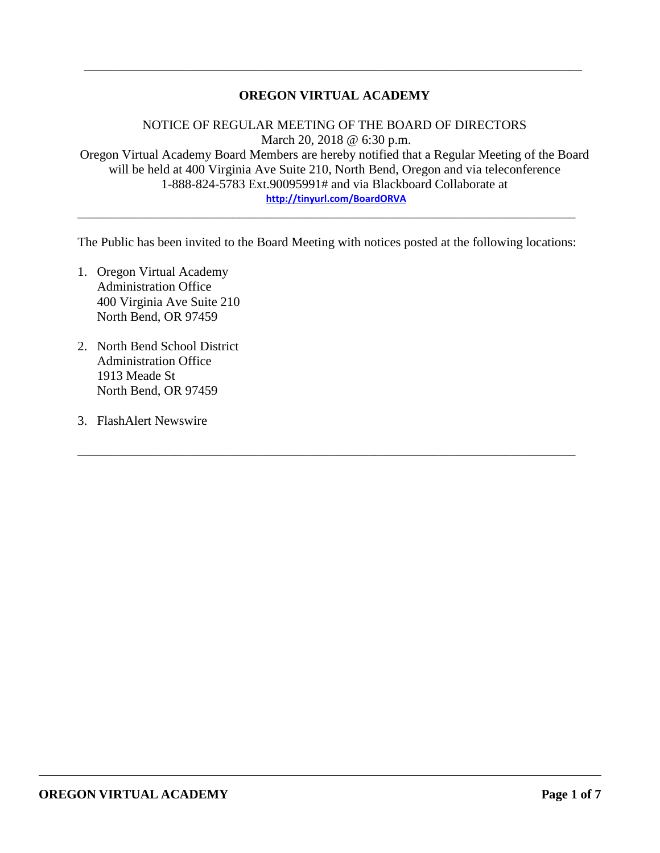### **OREGON VIRTUAL ACADEMY**

\_\_\_\_\_\_\_\_\_\_\_\_\_\_\_\_\_\_\_\_\_\_\_\_\_\_\_\_\_\_\_\_\_\_\_\_\_\_\_\_\_\_\_\_\_\_\_\_\_\_\_\_\_\_\_\_\_\_\_\_\_\_\_\_\_\_\_\_\_\_\_\_\_\_\_\_\_

NOTICE OF REGULAR MEETING OF THE BOARD OF DIRECTORS March 20, 2018 @ 6:30 p.m. Oregon Virtual Academy Board Members are hereby notified that a Regular Meeting of the Board will be held at 400 Virginia Ave Suite 210, North Bend, Oregon and via teleconference 1-888-824-5783 Ext.90095991# and via Blackboard Collaborate at **<http://tinyurl.com/BoardORVA>**

The Public has been invited to the Board Meeting with notices posted at the following locations:

\_\_\_\_\_\_\_\_\_\_\_\_\_\_\_\_\_\_\_\_\_\_\_\_\_\_\_\_\_\_\_\_\_\_\_\_\_\_\_\_\_\_\_\_\_\_\_\_\_\_\_\_\_\_\_\_\_\_\_\_\_\_\_\_\_\_\_\_\_\_\_\_\_\_\_\_\_

\_\_\_\_\_\_\_\_\_\_\_\_\_\_\_\_\_\_\_\_\_\_\_\_\_\_\_\_\_\_\_\_\_\_\_\_\_\_\_\_\_\_\_\_\_\_\_\_\_\_\_\_\_\_\_\_\_\_\_\_\_\_\_\_\_\_\_\_\_\_\_\_\_\_\_\_\_

- 1. Oregon Virtual Academy Administration Office 400 Virginia Ave Suite 210 North Bend, OR 97459
- 2. North Bend School District Administration Office 1913 Meade St North Bend, OR 97459
- 3. FlashAlert Newswire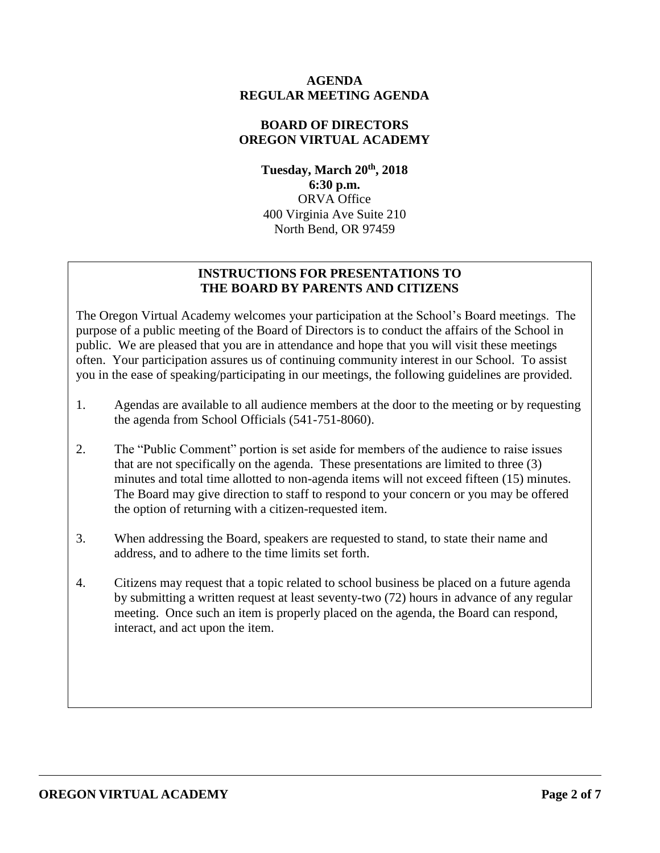### **AGENDA REGULAR MEETING AGENDA**

## **BOARD OF DIRECTORS OREGON VIRTUAL ACADEMY**

**Tuesday, March 20th , 2018 6:30 p.m.** ORVA Office 400 Virginia Ave Suite 210 North Bend, OR 97459

## **INSTRUCTIONS FOR PRESENTATIONS TO THE BOARD BY PARENTS AND CITIZENS**

The Oregon Virtual Academy welcomes your participation at the School's Board meetings. The purpose of a public meeting of the Board of Directors is to conduct the affairs of the School in public. We are pleased that you are in attendance and hope that you will visit these meetings often. Your participation assures us of continuing community interest in our School. To assist you in the ease of speaking/participating in our meetings, the following guidelines are provided.

- 1. Agendas are available to all audience members at the door to the meeting or by requesting the agenda from School Officials (541-751-8060).
- 2. The "Public Comment" portion is set aside for members of the audience to raise issues that are not specifically on the agenda. These presentations are limited to three (3) minutes and total time allotted to non-agenda items will not exceed fifteen (15) minutes. The Board may give direction to staff to respond to your concern or you may be offered the option of returning with a citizen-requested item.
- 3. When addressing the Board, speakers are requested to stand, to state their name and address, and to adhere to the time limits set forth.
- 4. Citizens may request that a topic related to school business be placed on a future agenda by submitting a written request at least seventy-two (72) hours in advance of any regular meeting. Once such an item is properly placed on the agenda, the Board can respond, interact, and act upon the item.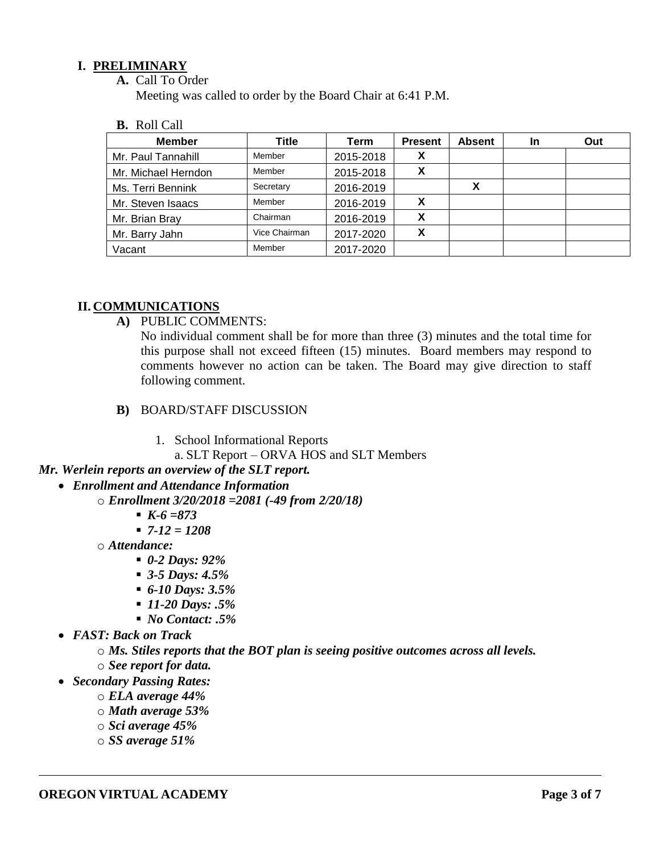### **I. PRELIMINARY**

**A.** Call To Order

Meeting was called to order by the Board Chair at 6:41 P.M.

**B.** Roll Call

| <b>Member</b>       | Title         | Term      | <b>Present</b> | <b>Absent</b> | In | Out |
|---------------------|---------------|-----------|----------------|---------------|----|-----|
| Mr. Paul Tannahill  | Member        | 2015-2018 | X              |               |    |     |
| Mr. Michael Herndon | Member        | 2015-2018 | v<br>Λ         |               |    |     |
| Ms. Terri Bennink   | Secretary     | 2016-2019 |                |               |    |     |
| Mr. Steven Isaacs   | Member        | 2016-2019 | х              |               |    |     |
| Mr. Brian Bray      | Chairman      | 2016-2019 | X              |               |    |     |
| Mr. Barry Jahn      | Vice Chairman | 2017-2020 | X              |               |    |     |
| Vacant              | Member        | 2017-2020 |                |               |    |     |

### **II. COMMUNICATIONS**

**A)** PUBLIC COMMENTS:

No individual comment shall be for more than three (3) minutes and the total time for this purpose shall not exceed fifteen (15) minutes. Board members may respond to comments however no action can be taken. The Board may give direction to staff following comment.

- **B)** BOARD/STAFF DISCUSSION
	- 1. School Informational Reports
		- a. SLT Report ORVA HOS and SLT Members

## *Mr. Werlein reports an overview of the SLT report.*

#### *Enrollment and Attendance Information*

- o *Enrollment 3/20/2018 =2081 (-49 from 2/20/18)*
	- *K-6 =873*
	- *7-12 = 1208*
- o *Attendance:*
	- *0-2 Days: 92%*
	- *3-5 Days: 4.5%*
	- *6-10 Days: 3.5%*
	- *11-20 Days: .5%*
	- *No Contact: .5%*
- *FAST: Back on Track*

o *Ms. Stiles reports that the BOT plan is seeing positive outcomes across all levels.* 

- o *See report for data.*
- *Secondary Passing Rates:*
	- o *ELA average 44%*
	- o *Math average 53%*
	- o *Sci average 45%*
	- o *SS average 51%*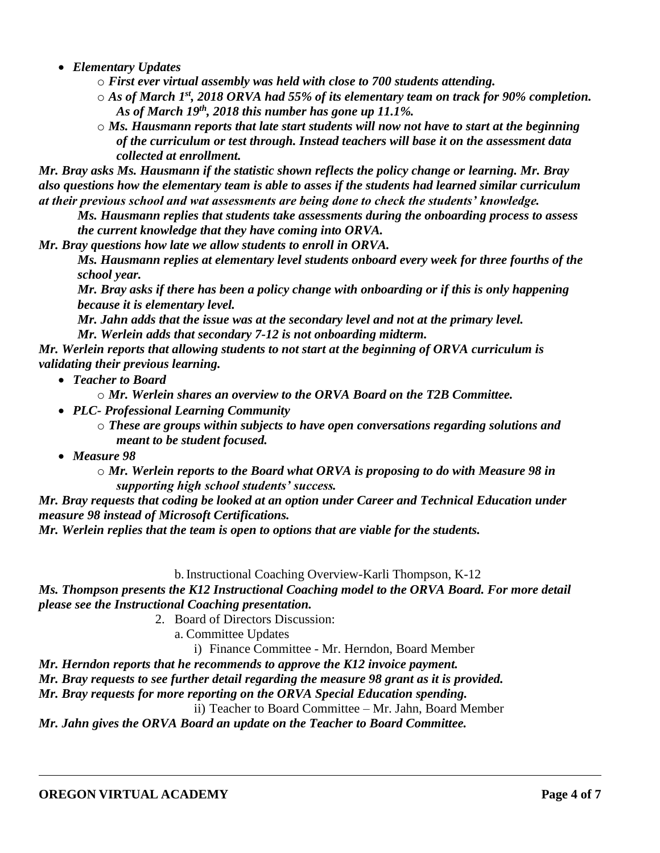*Elementary Updates*

o *First ever virtual assembly was held with close to 700 students attending.* 

o *As of March 1st, 2018 ORVA had 55% of its elementary team on track for 90% completion. As of March 19th, 2018 this number has gone up 11.1%.*

 $\circ$  *Ms. Hausmann reports that late start students will now not have to start at the beginning of the curriculum or test through. Instead teachers will base it on the assessment data collected at enrollment.* 

*Mr. Bray asks Ms. Hausmann if the statistic shown reflects the policy change or learning. Mr. Bray also questions how the elementary team is able to asses if the students had learned similar curriculum at their previous school and wat assessments are being done to check the students' knowledge.* 

*Ms. Hausmann replies that students take assessments during the onboarding process to assess the current knowledge that they have coming into ORVA.* 

*Mr. Bray questions how late we allow students to enroll in ORVA.*

*Ms. Hausmann replies at elementary level students onboard every week for three fourths of the school year.*

*Mr. Bray asks if there has been a policy change with onboarding or if this is only happening because it is elementary level.* 

*Mr. Jahn adds that the issue was at the secondary level and not at the primary level. Mr. Werlein adds that secondary 7-12 is not onboarding midterm.* 

*Mr. Werlein reports that allowing students to not start at the beginning of ORVA curriculum is validating their previous learning.* 

*Teacher to Board*

o *Mr. Werlein shares an overview to the ORVA Board on the T2B Committee.* 

- *PLC- Professional Learning Community* 
	- o *These are groups within subjects to have open conversations regarding solutions and meant to be student focused.*
- *Measure 98*

o *Mr. Werlein reports to the Board what ORVA is proposing to do with Measure 98 in supporting high school students' success.* 

*Mr. Bray requests that coding be looked at an option under Career and Technical Education under measure 98 instead of Microsoft Certifications.* 

*Mr. Werlein replies that the team is open to options that are viable for the students.* 

b.Instructional Coaching Overview-Karli Thompson, K-12

*Ms. Thompson presents the K12 Instructional Coaching model to the ORVA Board. For more detail please see the Instructional Coaching presentation.* 

2. Board of Directors Discussion:

a. Committee Updates

i) Finance Committee - Mr. Herndon, Board Member

*Mr. Herndon reports that he recommends to approve the K12 invoice payment.*

*Mr. Bray requests to see further detail regarding the measure 98 grant as it is provided.* 

*Mr. Bray requests for more reporting on the ORVA Special Education spending.* 

ii) Teacher to Board Committee – Mr. Jahn, Board Member

*Mr. Jahn gives the ORVA Board an update on the Teacher to Board Committee.*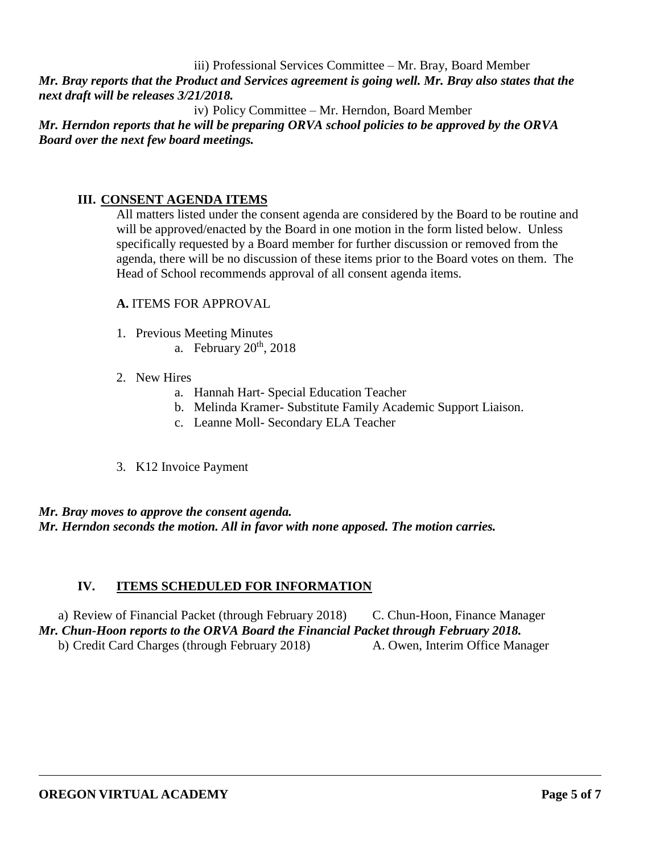iii) Professional Services Committee – Mr. Bray, Board Member

*Mr. Bray reports that the Product and Services agreement is going well. Mr. Bray also states that the next draft will be releases 3/21/2018.* 

iv) Policy Committee – Mr. Herndon, Board Member *Mr. Herndon reports that he will be preparing ORVA school policies to be approved by the ORVA Board over the next few board meetings.* 

# **III. CONSENT AGENDA ITEMS**

All matters listed under the consent agenda are considered by the Board to be routine and will be approved/enacted by the Board in one motion in the form listed below. Unless specifically requested by a Board member for further discussion or removed from the agenda, there will be no discussion of these items prior to the Board votes on them. The Head of School recommends approval of all consent agenda items.

## **A.** ITEMS FOR APPROVAL

- 1. Previous Meeting Minutes
	- a. February  $20<sup>th</sup>$ ,  $2018$

### 2. New Hires

- a. Hannah Hart- Special Education Teacher
- b. Melinda Kramer- Substitute Family Academic Support Liaison.
- c. Leanne Moll- Secondary ELA Teacher
- 3. K12 Invoice Payment

### *Mr. Bray moves to approve the consent agenda. Mr. Herndon seconds the motion. All in favor with none apposed. The motion carries.*

## **IV. ITEMS SCHEDULED FOR INFORMATION**

a) Review of Financial Packet (through February 2018) C. Chun-Hoon, Finance Manager *Mr. Chun-Hoon reports to the ORVA Board the Financial Packet through February 2018.* b) Credit Card Charges (through February 2018) A. Owen, Interim Office Manager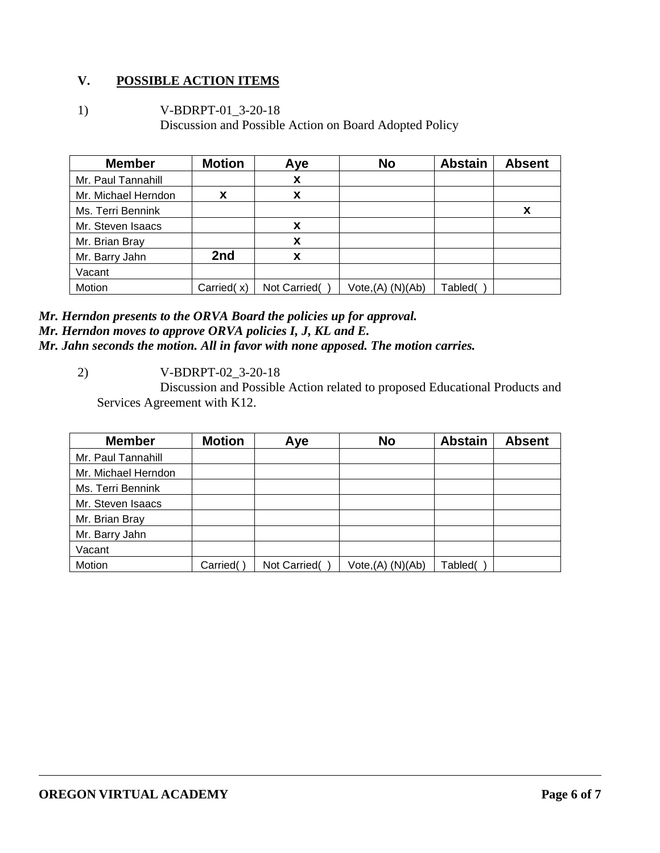# **V. POSSIBLE ACTION ITEMS**

1) V-BDRPT-01\_3-20-18 Discussion and Possible Action on Board Adopted Policy

| <b>Member</b>       | <b>Motion</b> | Aye          | <b>No</b>            | <b>Abstain</b> | <b>Absent</b> |
|---------------------|---------------|--------------|----------------------|----------------|---------------|
| Mr. Paul Tannahill  |               | X            |                      |                |               |
| Mr. Michael Herndon | X             | X            |                      |                |               |
| Ms. Terri Bennink   |               |              |                      |                | X             |
| Mr. Steven Isaacs   |               | X            |                      |                |               |
| Mr. Brian Bray      |               | X            |                      |                |               |
| Mr. Barry Jahn      | 2nd           | X            |                      |                |               |
| Vacant              |               |              |                      |                |               |
| Motion              | Carried(x)    | Not Carried( | $Vote,(A)$ $(N)(Ab)$ | Tabled(        |               |

#### *Mr. Herndon presents to the ORVA Board the policies up for approval. Mr. Herndon moves to approve ORVA policies I, J, KL and E. Mr. Jahn seconds the motion. All in favor with none apposed. The motion carries.*

2) V-BDRPT-02\_3-20-18

Discussion and Possible Action related to proposed Educational Products and Services Agreement with K12.

| <b>Member</b>       | <b>Motion</b> | Aye          | <b>No</b>         | <b>Abstain</b> | <b>Absent</b> |
|---------------------|---------------|--------------|-------------------|----------------|---------------|
| Mr. Paul Tannahill  |               |              |                   |                |               |
| Mr. Michael Herndon |               |              |                   |                |               |
| Ms. Terri Bennink   |               |              |                   |                |               |
| Mr. Steven Isaacs   |               |              |                   |                |               |
| Mr. Brian Bray      |               |              |                   |                |               |
| Mr. Barry Jahn      |               |              |                   |                |               |
| Vacant              |               |              |                   |                |               |
| Motion              | Carried(      | Not Carried( | Vote, (A) (N)(Ab) | Tabled(        |               |